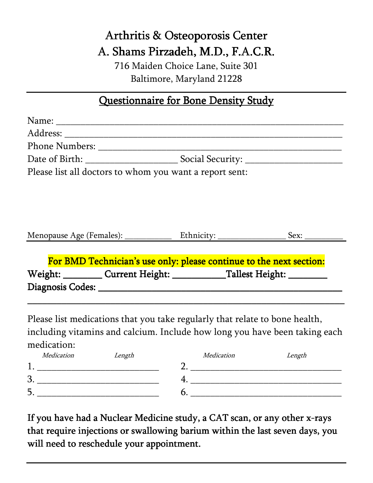# Arthritis & Osteoporosis Center A. Shams Pirzadeh, M.D., F.A.C.R.

716 Maiden Choice Lane, Suite 301 Baltimore, Maryland 21228

### Questionnaire for Bone Density Study

| Please list all doctors to whom you want a report sent:             |                                         |  |  |
|---------------------------------------------------------------------|-----------------------------------------|--|--|
|                                                                     |                                         |  |  |
|                                                                     |                                         |  |  |
|                                                                     |                                         |  |  |
|                                                                     |                                         |  |  |
|                                                                     |                                         |  |  |
|                                                                     |                                         |  |  |
| For BMD Technician's use only: please continue to the next section: |                                         |  |  |
|                                                                     | Weight: Current Height: Tallest Height: |  |  |
|                                                                     |                                         |  |  |
|                                                                     |                                         |  |  |
|                                                                     |                                         |  |  |

Please list medications that you take regularly that relate to bone health, including vitamins and calcium. Include how long you have been taking each medication:

If you have had a Nuclear Medicine study, a CAT scan, or any other x-rays that require injections or swallowing barium within the last seven days, you will need to reschedule your appointment.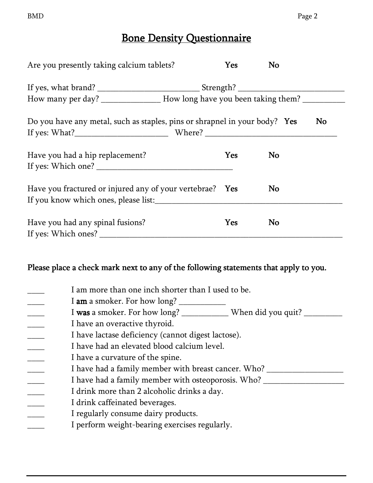## Bone Density Questionnaire

| Are you presently taking calcium tablets?                                                        | Yes | No |    |  |
|--------------------------------------------------------------------------------------------------|-----|----|----|--|
|                                                                                                  |     |    |    |  |
| How many per day? __________________ How long have you been taking them? ___________             |     |    |    |  |
| Do you have any metal, such as staples, pins or shrapnel in your body? Yes                       |     |    | No |  |
| Have you had a hip replacement?                                                                  | Yes | No |    |  |
| Have you fractured or injured any of your vertebrae? Yes<br>If you know which ones, please list: |     | No |    |  |
| Have you had any spinal fusions?<br>If yes: Which ones?                                          | Yes | No |    |  |

#### Please place a check mark next to any of the following statements that apply to you.

| I am more than one inch shorter than I used to be.                               |
|----------------------------------------------------------------------------------|
| I <b>am</b> a smoker. For how long?                                              |
| I was a smoker. For how long? ______________ When did you quit? ________________ |
| I have an overactive thyroid.                                                    |
| I have lactase deficiency (cannot digest lactose).                               |
| I have had an elevated blood calcium level.                                      |
| I have a curvature of the spine.                                                 |
| I have had a family member with breast cancer. Who? ____                         |
| I have had a family member with osteoporosis. Who? __                            |
| I drink more than 2 alcoholic drinks a day.                                      |
| I drink caffeinated beverages.                                                   |
| I regularly consume dairy products.                                              |
| I perform weight-bearing exercises regularly.                                    |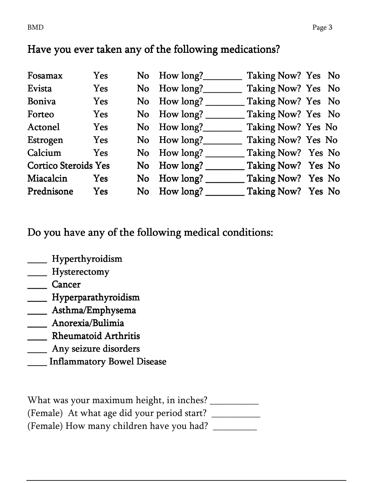## Have you ever taken any of the following medications?

| Fosamax                     | Yes        |           | No How long?                       | Taking Now? Yes No |  |
|-----------------------------|------------|-----------|------------------------------------|--------------------|--|
| Evista                      | <b>Yes</b> |           | No How long?                       | Taking Now? Yes No |  |
| <b>Boniva</b>               | Yes        | No        | How long?                          | Taking Now? Yes No |  |
| Forteo                      | <b>Yes</b> |           | No How long?                       | Taking Now? Yes No |  |
| Actonel                     | <b>Yes</b> |           | No How long?                       | Taking Now? Yes No |  |
| Estrogen                    | Yes        |           | No How long?                       | Taking Now? Yes No |  |
| Calcium                     | Yes        | <b>No</b> | How long?                          | Taking Now? Yes No |  |
| <b>Cortico Steroids Yes</b> |            | <b>No</b> | How long? $\overline{\phantom{a}}$ | Taking Now? Yes No |  |
| Miacalcin                   | Yes        | No.       | How long?                          | Taking Now? Yes No |  |
| Prednisone                  | Yes        |           | No How long?                       | Taking Now? Yes No |  |

Do you have any of the following medical conditions:

## **\_\_\_\_\_** Hyperthyroidism

## \_\_\_\_ Hysterectomy

- \_\_\_\_ Cancer
- \_\_\_\_ Hyperparathyroidism
- \_\_\_\_\_ Asthma/Emphysema
- \_\_\_\_ Anorexia/Bulimia
- \_\_\_\_ Rheumatoid Arthritis
- \_\_\_\_\_ Any seizure disorders

#### Inflammatory Bowel Disease

What was your maximum height, in inches? \_\_\_\_\_\_\_\_\_\_\_ (Female) At what age did your period start? \_\_\_\_\_\_\_\_\_\_\_ (Female) How many children have you had? \_\_\_\_\_\_\_\_\_\_